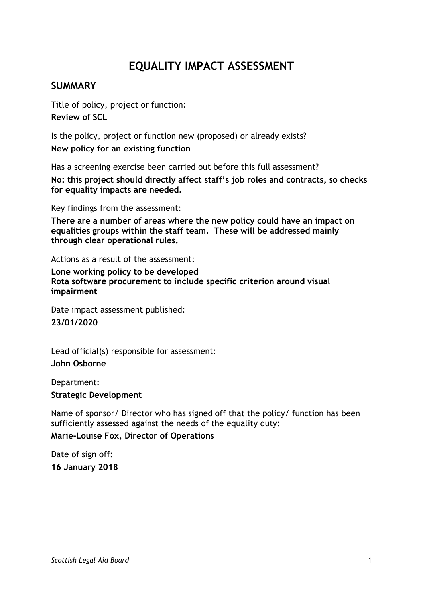# **EQUALITY IMPACT ASSESSMENT**

### **SUMMARY**

Title of policy, project or function: **Review of SCL**

Is the policy, project or function new (proposed) or already exists? **New policy for an existing function**

Has a screening exercise been carried out before this full assessment?

**No: this project should directly affect staff's job roles and contracts, so checks for equality impacts are needed.**

Key findings from the assessment:

**There are a number of areas where the new policy could have an impact on equalities groups within the staff team. These will be addressed mainly through clear operational rules.**

Actions as a result of the assessment:

**Lone working policy to be developed Rota software procurement to include specific criterion around visual impairment**

Date impact assessment published: **23/01/2020**

Lead official(s) responsible for assessment: **John Osborne**

Department:

**Strategic Development**

Name of sponsor/ Director who has signed off that the policy/ function has been sufficiently assessed against the needs of the equality duty:

**Marie-Louise Fox, Director of Operations**

Date of sign off: **16 January 2018**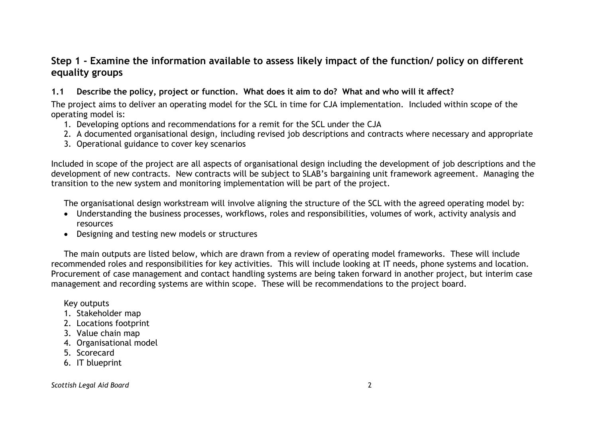### **Step 1 - Examine the information available to assess likely impact of the function/ policy on different equality groups**

### **1.1 Describe the policy, project or function. What does it aim to do? What and who will it affect?**

The project aims to deliver an operating model for the SCL in time for CJA implementation. Included within scope of the operating model is:

- 1. Developing options and recommendations for a remit for the SCL under the CJA
- 2. A documented organisational design, including revised job descriptions and contracts where necessary and appropriate
- 3. Operational guidance to cover key scenarios

Included in scope of the project are all aspects of organisational design including the development of job descriptions and the development of new contracts. New contracts will be subject to SLAB's bargaining unit framework agreement. Managing the transition to the new system and monitoring implementation will be part of the project.

The organisational design workstream will involve aligning the structure of the SCL with the agreed operating model by:

- Understanding the business processes, workflows, roles and responsibilities, volumes of work, activity analysis and resources
- Designing and testing new models or structures

The main outputs are listed below, which are drawn from a review of operating model frameworks. These will include recommended roles and responsibilities for key activities. This will include looking at IT needs, phone systems and location. Procurement of case management and contact handling systems are being taken forward in another project, but interim case management and recording systems are within scope. These will be recommendations to the project board.

#### Key outputs

- 1. Stakeholder map
- 2. Locations footprint
- 3. Value chain map
- 4. Organisational model
- 5. Scorecard
- 6. IT blueprint

#### *Scottish Legal Aid Board* 2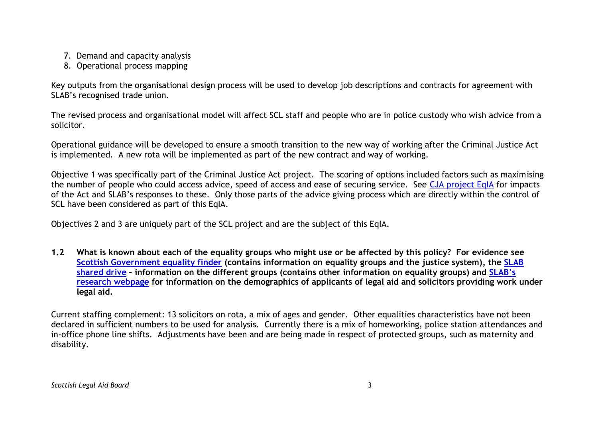- 7. Demand and capacity analysis
- 8. Operational process mapping

Key outputs from the organisational design process will be used to develop job descriptions and contracts for agreement with SLAB's recognised trade union.

The revised process and organisational model will affect SCL staff and people who are in police custody who wish advice from a solicitor.

Operational guidance will be developed to ensure a smooth transition to the new way of working after the Criminal Justice Act is implemented. A new rota will be implemented as part of the new contract and way of working.

Objective 1 was specifically part of the Criminal Justice Act project. The scoring of options included factors such as maximising the number of people who could access advice, speed of access and ease of securing service. See [CJA project EqIA](file://///cifssata/Common/Common/Shared/Project%20Repository/Criminal%20Justice%20Act/CJ%20Act%20-%20draft%20EQIA%2027%20Mar%202017.docx) for impacts of the Act and SLAB's responses to these. Only those parts of the advice giving process which are directly within the control of SCL have been considered as part of this EqIA.

Objectives 2 and 3 are uniquely part of the SCL project and are the subject of this EqIA.

**1.2 What is known about each of the equality groups who might use or be affected by this policy? For evidence see [Scottish Government equality finder](http://www.scotland.gov.uk/Topics/People/Equality/Equalities/DataGrid) (contains information on equality groups and the justice system), the [SLAB](file://///cifssata/Common/Common/Shared/Equalities/Equality%20information/The%20different%20equality%20groups)  [shared drive](file://///cifssata/Common/Common/Shared/Equalities/Equality%20information/The%20different%20equality%20groups) – information on the different groups (contains other information on equality groups) and [SLAB's](http://www.slab.org.uk/about-us/what-we-do/research/index.html)  [research webpage](http://www.slab.org.uk/about-us/what-we-do/research/index.html) for information on the demographics of applicants of legal aid and solicitors providing work under legal aid.**

Current staffing complement: 13 solicitors on rota, a mix of ages and gender. Other equalities characteristics have not been declared in sufficient numbers to be used for analysis. Currently there is a mix of homeworking, police station attendances and in-office phone line shifts. Adjustments have been and are being made in respect of protected groups, such as maternity and disability.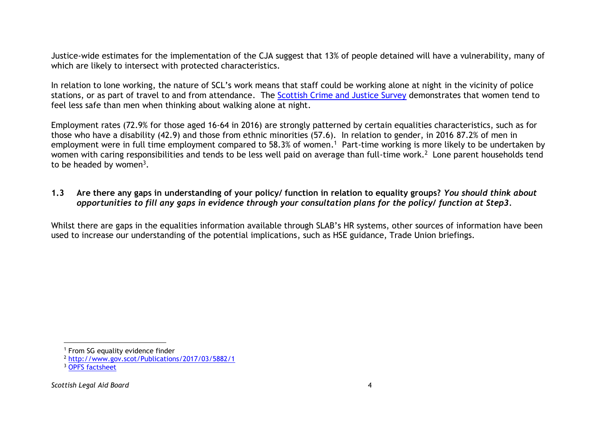Justice-wide estimates for the implementation of the CJA suggest that 13% of people detained will have a vulnerability, many of which are likely to intersect with protected characteristics.

In relation to lone working, the nature of SCL's work means that staff could be working alone at night in the vicinity of police stations, or as part of travel to and from attendance. The [Scottish Crime and Justice Survey](http://www.gov.scot/Topics/Statistics/Browse/Crime-Justice/crime-and-justice-survey/scjslatestfindings) demonstrates that women tend to feel less safe than men when thinking about walking alone at night.

Employment rates (72.9% for those aged 16-64 in 2016) are strongly patterned by certain equalities characteristics, such as for those who have a disability (42.9) and those from ethnic minorities (57.6). In relation to gender, in 2016 87.2% of men in employment were in full time employment compared to 58.3% of women. 1 Part-time working is more likely to be undertaken by women with caring responsibilities and tends to be less well paid on average than full-time work.<sup>2</sup> Lone parent households tend to be headed by women<sup>3</sup>.

### **1.3 Are there any gaps in understanding of your policy/ function in relation to equality groups?** *You should think about opportunities to fill any gaps in evidence through your consultation plans for the policy/ function at Step3.*

Whilst there are gaps in the equalities information available through SLAB's HR systems, other sources of information have been used to increase our understanding of the potential implications, such as HSE guidance, Trade Union briefings.

l

<sup>&</sup>lt;sup>1</sup> From SG equality evidence finder

<sup>2</sup> <http://www.gov.scot/Publications/2017/03/5882/1>

<sup>&</sup>lt;sup>3</sup> [OPFS factsheet](https://www.google.co.uk/url?sa=t&rct=j&q=&esrc=s&source=web&cd=9&ved=0ahUKEwjDzsqhx4TYAhXSLlAKHcHBDngQFgheMAg&url=https%3A%2F%2Fvhscotland.org.uk%2Fwp-content%2Fuploads%2F2016%2F12%2FSINGLE-MOTHERS-HEALTH-AND-INEQUALITIES.doc.pdf&usg=AOvVaw2g_eZgvSuohjXaIbIGKfsR)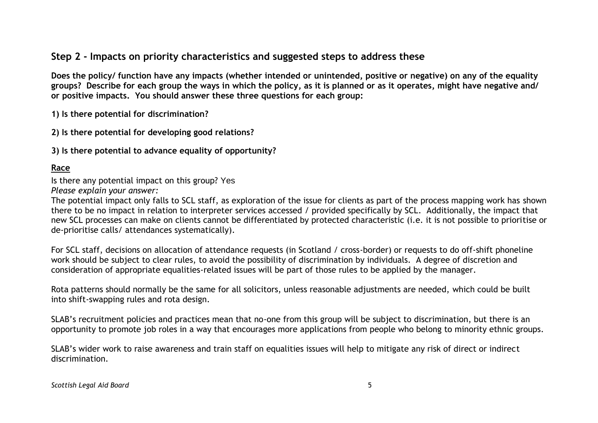### **Step 2 - Impacts on priority characteristics and suggested steps to address these**

**Does the policy/ function have any impacts (whether intended or unintended, positive or negative) on any of the equality groups? Describe for each group the ways in which the policy, as it is planned or as it operates, might have negative and/ or positive impacts. You should answer these three questions for each group:** 

**1) Is there potential for discrimination?** 

**2) Is there potential for developing good relations?**

**3) Is there potential to advance equality of opportunity?**

### **Race**

Is there any potential impact on this group? Yes *Please explain your answer:*

The potential impact only falls to SCL staff, as exploration of the issue for clients as part of the process mapping work has shown there to be no impact in relation to interpreter services accessed / provided specifically by SCL. Additionally, the impact that new SCL processes can make on clients cannot be differentiated by protected characteristic (i.e. it is not possible to prioritise or de-prioritise calls/ attendances systematically).

For SCL staff, decisions on allocation of attendance requests (in Scotland / cross-border) or requests to do off-shift phoneline work should be subject to clear rules, to avoid the possibility of discrimination by individuals. A degree of discretion and consideration of appropriate equalities-related issues will be part of those rules to be applied by the manager.

Rota patterns should normally be the same for all solicitors, unless reasonable adjustments are needed, which could be built into shift-swapping rules and rota design.

SLAB's recruitment policies and practices mean that no-one from this group will be subject to discrimination, but there is an opportunity to promote job roles in a way that encourages more applications from people who belong to minority ethnic groups.

SLAB's wider work to raise awareness and train staff on equalities issues will help to mitigate any risk of direct or indirect discrimination.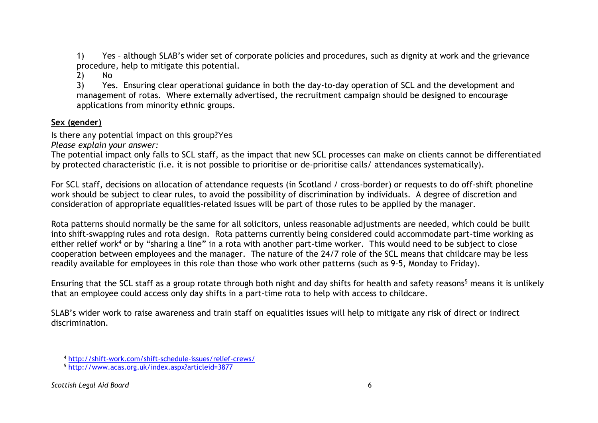1) Yes – although SLAB's wider set of corporate policies and procedures, such as dignity at work and the grievance procedure, help to mitigate this potential.

2) No

3) Yes. Ensuring clear operational guidance in both the day-to-day operation of SCL and the development and management of rotas. Where externally advertised, the recruitment campaign should be designed to encourage applications from minority ethnic groups.

### **Sex (gender)**

Is there any potential impact on this group?Yes

*Please explain your answer:*

The potential impact only falls to SCL staff, as the impact that new SCL processes can make on clients cannot be differentiated by protected characteristic (i.e. it is not possible to prioritise or de-prioritise calls/ attendances systematically).

For SCL staff, decisions on allocation of attendance requests (in Scotland / cross-border) or requests to do off-shift phoneline work should be subject to clear rules, to avoid the possibility of discrimination by individuals. A degree of discretion and consideration of appropriate equalities-related issues will be part of those rules to be applied by the manager.

Rota patterns should normally be the same for all solicitors, unless reasonable adjustments are needed, which could be built into shift-swapping rules and rota design. Rota patterns currently being considered could accommodate part-time working as either relief work<sup>4</sup> or by "sharing a line" in a rota with another part-time worker. This would need to be subject to close cooperation between employees and the manager. The nature of the 24/7 role of the SCL means that childcare may be less readily available for employees in this role than those who work other patterns (such as 9-5, Monday to Friday).

Ensuring that the SCL staff as a group rotate through both night and day shifts for health and safety reasons<sup>5</sup> means it is unlikely that an employee could access only day shifts in a part-time rota to help with access to childcare.

SLAB's wider work to raise awareness and train staff on equalities issues will help to mitigate any risk of direct or indirect discrimination.

l <sup>4</sup> <http://shift-work.com/shift-schedule-issues/relief-crews/>

<sup>5</sup> <http://www.acas.org.uk/index.aspx?articleid=3877>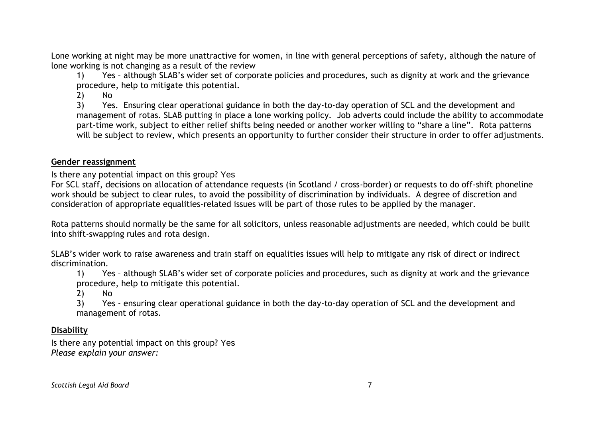Lone working at night may be more unattractive for women, in line with general perceptions of safety, although the nature of lone working is not changing as a result of the review

1) Yes – although SLAB's wider set of corporate policies and procedures, such as dignity at work and the grievance procedure, help to mitigate this potential.

2) No

3) Yes. Ensuring clear operational guidance in both the day-to-day operation of SCL and the development and management of rotas. SLAB putting in place a lone working policy. Job adverts could include the ability to accommodate part-time work, subject to either relief shifts being needed or another worker willing to "share a line". Rota patterns will be subject to review, which presents an opportunity to further consider their structure in order to offer adjustments.

#### **Gender reassignment**

Is there any potential impact on this group? Yes

For SCL staff, decisions on allocation of attendance requests (in Scotland / cross-border) or requests to do off-shift phoneline work should be subject to clear rules, to avoid the possibility of discrimination by individuals. A degree of discretion and consideration of appropriate equalities-related issues will be part of those rules to be applied by the manager.

Rota patterns should normally be the same for all solicitors, unless reasonable adjustments are needed, which could be built into shift-swapping rules and rota design.

SLAB's wider work to raise awareness and train staff on equalities issues will help to mitigate any risk of direct or indirect discrimination.

1) Yes – although SLAB's wider set of corporate policies and procedures, such as dignity at work and the grievance procedure, help to mitigate this potential.

2) No

3) Yes - ensuring clear operational guidance in both the day-to-day operation of SCL and the development and management of rotas.

### **Disability**

Is there any potential impact on this group? Yes *Please explain your answer:*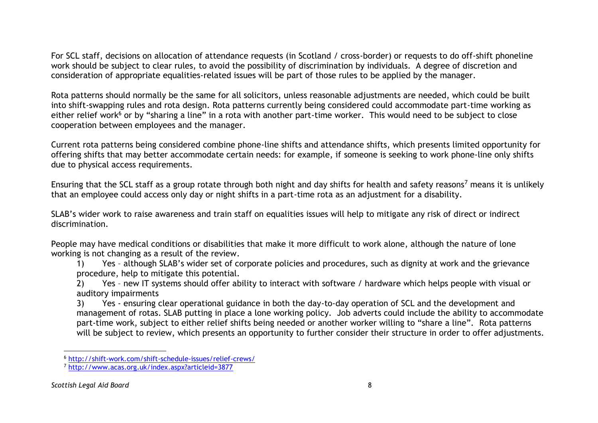For SCL staff, decisions on allocation of attendance requests (in Scotland / cross-border) or requests to do off-shift phoneline work should be subject to clear rules, to avoid the possibility of discrimination by individuals. A degree of discretion and consideration of appropriate equalities-related issues will be part of those rules to be applied by the manager.

Rota patterns should normally be the same for all solicitors, unless reasonable adjustments are needed, which could be built into shift-swapping rules and rota design. Rota patterns currently being considered could accommodate part-time working as either relief work<sup>6</sup> or by "sharing a line" in a rota with another part-time worker. This would need to be subject to close cooperation between employees and the manager.

Current rota patterns being considered combine phone-line shifts and attendance shifts, which presents limited opportunity for offering shifts that may better accommodate certain needs: for example, if someone is seeking to work phone-line only shifts due to physical access requirements.

Ensuring that the SCL staff as a group rotate through both night and day shifts for health and safety reasons<sup>7</sup> means it is unlikely that an employee could access only day or night shifts in a part-time rota as an adjustment for a disability.

SLAB's wider work to raise awareness and train staff on equalities issues will help to mitigate any risk of direct or indirect discrimination.

People may have medical conditions or disabilities that make it more difficult to work alone, although the nature of lone working is not changing as a result of the review.

1) Yes – although SLAB's wider set of corporate policies and procedures, such as dignity at work and the grievance procedure, help to mitigate this potential.

2) Yes – new IT systems should offer ability to interact with software / hardware which helps people with visual or auditory impairments

3) Yes - ensuring clear operational guidance in both the day-to-day operation of SCL and the development and management of rotas. SLAB putting in place a lone working policy. Job adverts could include the ability to accommodate part-time work, subject to either relief shifts being needed or another worker willing to "share a line". Rota patterns will be subject to review, which presents an opportunity to further consider their structure in order to offer adjustments.

l

<sup>6</sup> <http://shift-work.com/shift-schedule-issues/relief-crews/>

<sup>7</sup> <http://www.acas.org.uk/index.aspx?articleid=3877>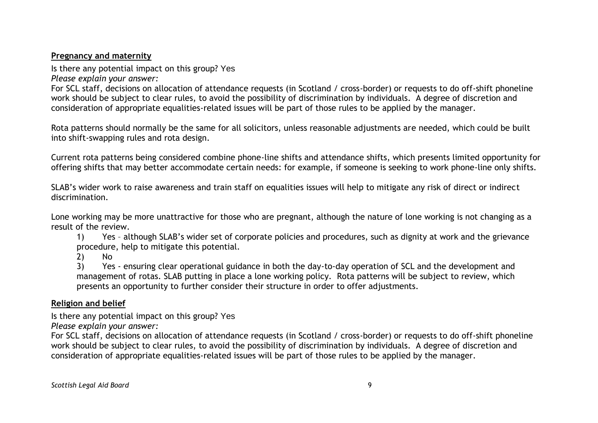### **Pregnancy and maternity**

Is there any potential impact on this group? Yes *Please explain your answer:*

For SCL staff, decisions on allocation of attendance requests (in Scotland / cross-border) or requests to do off-shift phoneline work should be subject to clear rules, to avoid the possibility of discrimination by individuals. A degree of discretion and consideration of appropriate equalities-related issues will be part of those rules to be applied by the manager.

Rota patterns should normally be the same for all solicitors, unless reasonable adjustments are needed, which could be built into shift-swapping rules and rota design.

Current rota patterns being considered combine phone-line shifts and attendance shifts, which presents limited opportunity for offering shifts that may better accommodate certain needs: for example, if someone is seeking to work phone-line only shifts.

SLAB's wider work to raise awareness and train staff on equalities issues will help to mitigate any risk of direct or indirect discrimination.

Lone working may be more unattractive for those who are pregnant, although the nature of lone working is not changing as a result of the review.

1) Yes – although SLAB's wider set of corporate policies and procedures, such as dignity at work and the grievance procedure, help to mitigate this potential.

2) No

3) Yes - ensuring clear operational guidance in both the day-to-day operation of SCL and the development and management of rotas. SLAB putting in place a lone working policy. Rota patterns will be subject to review, which presents an opportunity to further consider their structure in order to offer adjustments.

### **Religion and belief**

Is there any potential impact on this group? Yes

*Please explain your answer:*

For SCL staff, decisions on allocation of attendance requests (in Scotland / cross-border) or requests to do off-shift phoneline work should be subject to clear rules, to avoid the possibility of discrimination by individuals. A degree of discretion and consideration of appropriate equalities-related issues will be part of those rules to be applied by the manager.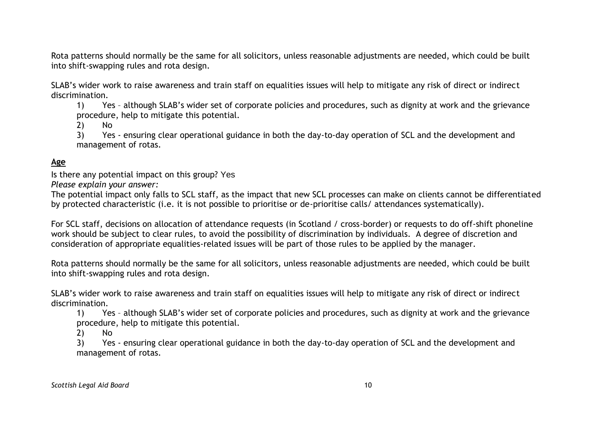Rota patterns should normally be the same for all solicitors, unless reasonable adjustments are needed, which could be built into shift-swapping rules and rota design.

SLAB's wider work to raise awareness and train staff on equalities issues will help to mitigate any risk of direct or indirect discrimination.

1) Yes – although SLAB's wider set of corporate policies and procedures, such as dignity at work and the grievance procedure, help to mitigate this potential.

2) No

3) Yes - ensuring clear operational guidance in both the day-to-day operation of SCL and the development and management of rotas.

#### **Age**

Is there any potential impact on this group? Yes

*Please explain your answer:*

The potential impact only falls to SCL staff, as the impact that new SCL processes can make on clients cannot be differentiated by protected characteristic (i.e. it is not possible to prioritise or de-prioritise calls/ attendances systematically).

For SCL staff, decisions on allocation of attendance requests (in Scotland / cross-border) or requests to do off-shift phoneline work should be subject to clear rules, to avoid the possibility of discrimination by individuals. A degree of discretion and consideration of appropriate equalities-related issues will be part of those rules to be applied by the manager.

Rota patterns should normally be the same for all solicitors, unless reasonable adjustments are needed, which could be built into shift-swapping rules and rota design.

SLAB's wider work to raise awareness and train staff on equalities issues will help to mitigate any risk of direct or indirect discrimination.

1) Yes – although SLAB's wider set of corporate policies and procedures, such as dignity at work and the grievance procedure, help to mitigate this potential.

2) No

3) Yes - ensuring clear operational guidance in both the day-to-day operation of SCL and the development and management of rotas.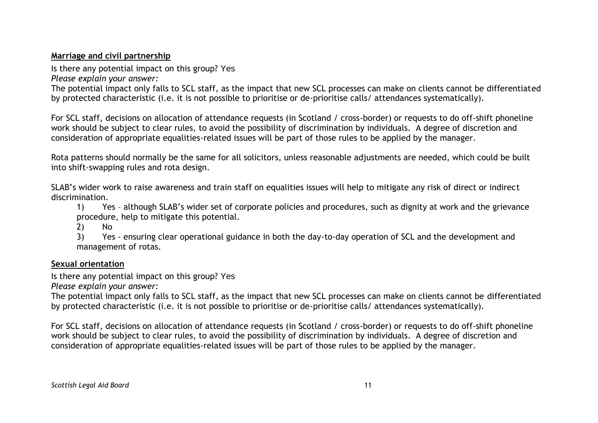### **Marriage and civil partnership**

Is there any potential impact on this group? Yes

*Please explain your answer:*

The potential impact only falls to SCL staff, as the impact that new SCL processes can make on clients cannot be differentiated by protected characteristic (i.e. it is not possible to prioritise or de-prioritise calls/ attendances systematically).

For SCL staff, decisions on allocation of attendance requests (in Scotland / cross-border) or requests to do off-shift phoneline work should be subject to clear rules, to avoid the possibility of discrimination by individuals. A degree of discretion and consideration of appropriate equalities-related issues will be part of those rules to be applied by the manager.

Rota patterns should normally be the same for all solicitors, unless reasonable adjustments are needed, which could be built into shift-swapping rules and rota design.

SLAB's wider work to raise awareness and train staff on equalities issues will help to mitigate any risk of direct or indirect discrimination.

1) Yes – although SLAB's wider set of corporate policies and procedures, such as dignity at work and the grievance procedure, help to mitigate this potential.

2) No

3) Yes - ensuring clear operational guidance in both the day-to-day operation of SCL and the development and management of rotas.

### **Sexual orientation**

Is there any potential impact on this group? Yes

*Please explain your answer:*

The potential impact only falls to SCL staff, as the impact that new SCL processes can make on clients cannot be differentiated by protected characteristic (i.e. it is not possible to prioritise or de-prioritise calls/ attendances systematically).

For SCL staff, decisions on allocation of attendance requests (in Scotland / cross-border) or requests to do off-shift phoneline work should be subject to clear rules, to avoid the possibility of discrimination by individuals. A degree of discretion and consideration of appropriate equalities-related issues will be part of those rules to be applied by the manager.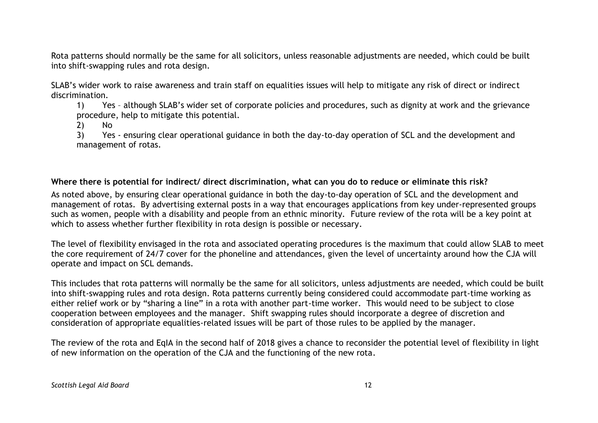Rota patterns should normally be the same for all solicitors, unless reasonable adjustments are needed, which could be built into shift-swapping rules and rota design.

SLAB's wider work to raise awareness and train staff on equalities issues will help to mitigate any risk of direct or indirect discrimination.

1) Yes – although SLAB's wider set of corporate policies and procedures, such as dignity at work and the grievance procedure, help to mitigate this potential.

2) No

3) Yes - ensuring clear operational guidance in both the day-to-day operation of SCL and the development and management of rotas.

#### **Where there is potential for indirect/ direct discrimination, what can you do to reduce or eliminate this risk?**

As noted above, by ensuring clear operational guidance in both the day-to-day operation of SCL and the development and management of rotas. By advertising external posts in a way that encourages applications from key under-represented groups such as women, people with a disability and people from an ethnic minority. Future review of the rota will be a key point at which to assess whether further flexibility in rota design is possible or necessary.

The level of flexibility envisaged in the rota and associated operating procedures is the maximum that could allow SLAB to meet the core requirement of 24/7 cover for the phoneline and attendances, given the level of uncertainty around how the CJA will operate and impact on SCL demands.

This includes that rota patterns will normally be the same for all solicitors, unless adjustments are needed, which could be built into shift-swapping rules and rota design. Rota patterns currently being considered could accommodate part-time working as either relief work or by "sharing a line" in a rota with another part-time worker. This would need to be subject to close cooperation between employees and the manager. Shift swapping rules should incorporate a degree of discretion and consideration of appropriate equalities-related issues will be part of those rules to be applied by the manager.

The review of the rota and EqIA in the second half of 2018 gives a chance to reconsider the potential level of flexibility in light of new information on the operation of the CJA and the functioning of the new rota.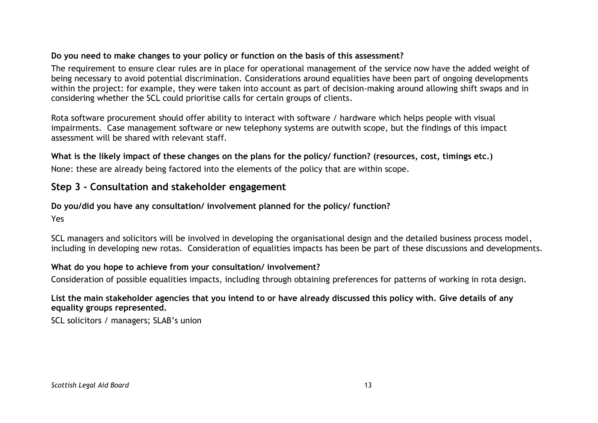### **Do you need to make changes to your policy or function on the basis of this assessment?**

The requirement to ensure clear rules are in place for operational management of the service now have the added weight of being necessary to avoid potential discrimination. Considerations around equalities have been part of ongoing developments within the project: for example, they were taken into account as part of decision-making around allowing shift swaps and in considering whether the SCL could prioritise calls for certain groups of clients.

Rota software procurement should offer ability to interact with software / hardware which helps people with visual impairments. Case management software or new telephony systems are outwith scope, but the findings of this impact assessment will be shared with relevant staff.

**What is the likely impact of these changes on the plans for the policy/ function? (resources, cost, timings etc.)** None: these are already being factored into the elements of the policy that are within scope.

### **Step 3 - Consultation and stakeholder engagement**

### **Do you/did you have any consultation/ involvement planned for the policy/ function?**

Yes

SCL managers and solicitors will be involved in developing the organisational design and the detailed business process model, including in developing new rotas. Consideration of equalities impacts has been be part of these discussions and developments.

### **What do you hope to achieve from your consultation/ involvement?**

Consideration of possible equalities impacts, including through obtaining preferences for patterns of working in rota design.

**List the main stakeholder agencies that you intend to or have already discussed this policy with. Give details of any equality groups represented.**

SCL solicitors / managers; SLAB's union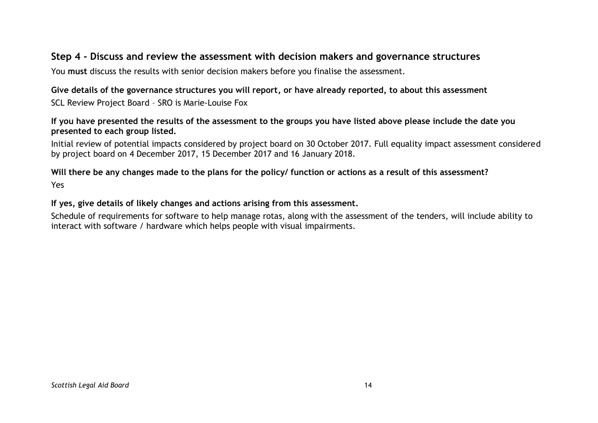### **Step 4 - Discuss and review the assessment with decision makers and governance structures**

You **must** discuss the results with senior decision makers before you finalise the assessment.

### **Give details of the governance structures you will report, or have already reported, to about this assessment** SCL Review Project Board – SRO is Marie-Louise Fox

#### **If you have presented the results of the assessment to the groups you have listed above please include the date you presented to each group listed.**

Initial review of potential impacts considered by project board on 30 October 2017. Full equality impact assessment considered by project board on 4 December 2017, 15 December 2017 and 16 January 2018.

#### **Will there be any changes made to the plans for the policy/ function or actions as a result of this assessment?** Yes

#### **If yes, give details of likely changes and actions arising from this assessment.**

Schedule of requirements for software to help manage rotas, along with the assessment of the tenders, will include ability to interact with software / hardware which helps people with visual impairments.